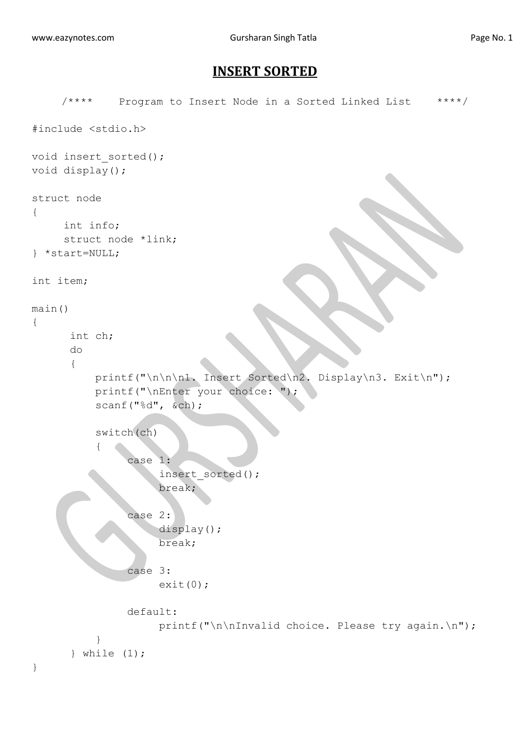## **INSERT SORTED**

```
/**** Program to Insert Node in a Sorted Linked List ****/
#include <stdio.h>
void insert sorted();
void display();
struct node
{
     int info;
     struct node *link;
} *start=NULL;
int item;
main()
{
       int ch;
       do
       {
          printf("\n\n\n1. Insert Sorted\n2. Display\n3. Exit\n");
           printf("\nEnter your choice: ");
           scanf("%d", &ch);
           switch(ch)
\{ case 1:
                     insert_sorted();
                     break;
                case 2:
                     display();
                    break;
                case 3:
                    ext(0); default:
                    printf("\n\nInvalid choice. Please try again.\n");
 }
       } while (1);
}
```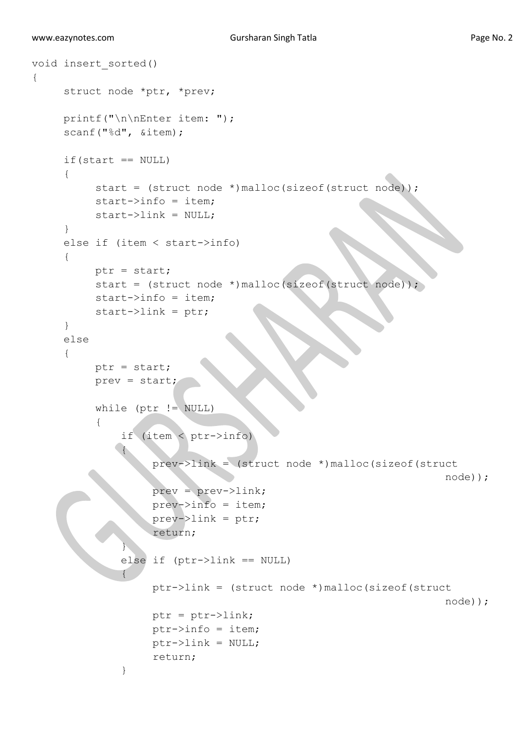```
void insert_sorted()
{
    struct node *ptr, *prev;
    printf("\n\nEnter item: ");
    scanf("%d", &item);
    if(start == NULL){
         start = (struct node *)malloc(sizeof(struct node));
         start->info = item;
         start->link = NULL;}
    else if (item < start->info)
     {
         ptr = start;
          start = (struct node *)malloc(sizeof(struct node));
          start->info = item;
         start->link =ptr; }
     else
      {
         ptr = start;
          prev = start;
         while (ptr != NULL)
\{ if (item < ptr->info)
 {
                   prev->link = (struct node *)malloc(sizeof(struct
                                                               node));
                   prev = prev->link;
                  prev->info = item;
                   prev->link = ptr;
                   return;
1999
              else if (ptr->link == NULL)
{
                   ptr->link = (struct node *)malloc(sizeof(struct
                                                               node));
                   ptr = ptr->link;
                  ptr->info = item;
                   ptr->link = NULL;
                   return;
 }
```